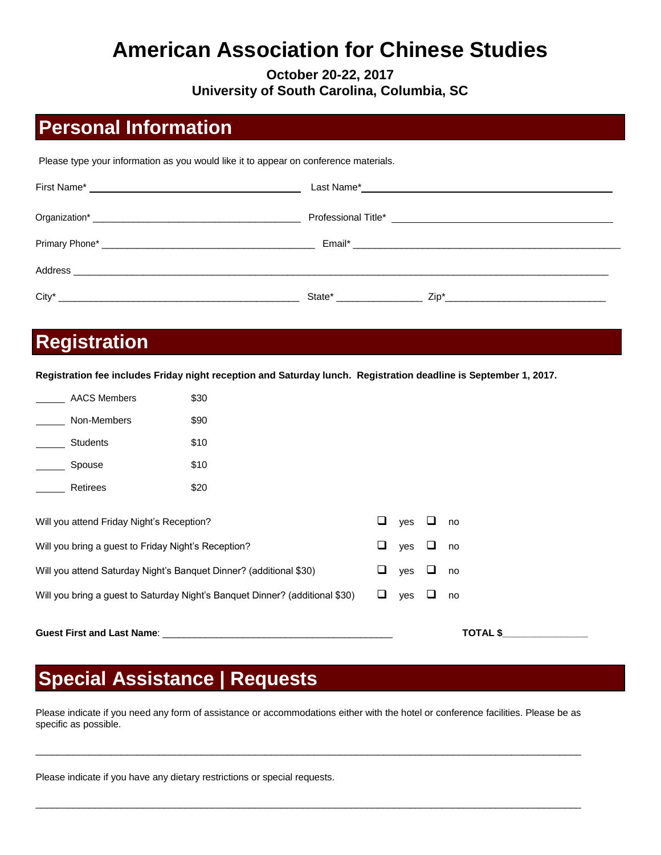# **American Association for Chinese Studies**

**October 20-22, 2017 University of South Carolina, Columbia, SC** 

### **Personal Information**

Please type your information as you would like it to appear on conference materials.

| $\text{City}^*$ |  |
|-----------------|--|

#### **Registration**

**Registration fee includes Friday night reception and Saturday lunch. Registration deadline is September 1, 2017.**

| <b>AACS Members</b>                                                | \$30                                                                         |  |   |     |   |    |
|--------------------------------------------------------------------|------------------------------------------------------------------------------|--|---|-----|---|----|
| Non-Members                                                        | \$90                                                                         |  |   |     |   |    |
| <b>Students</b>                                                    | \$10                                                                         |  |   |     |   |    |
| Spouse                                                             | \$10                                                                         |  |   |     |   |    |
| Retirees                                                           | \$20                                                                         |  |   |     |   |    |
|                                                                    |                                                                              |  |   |     |   |    |
| Will you attend Friday Night's Reception?                          |                                                                              |  | ப | ves |   | no |
| Will you bring a guest to Friday Night's Reception?                |                                                                              |  | ப | yes | └ | no |
| Will you attend Saturday Night's Banquet Dinner? (additional \$30) |                                                                              |  | ப | yes | ⊔ | no |
|                                                                    | Will you bring a guest to Saturday Night's Banquet Dinner? (additional \$30) |  | ப | ves |   | no |
|                                                                    |                                                                              |  |   |     |   |    |

### **Special Assistance | Requests**

Please indicate if you need any form of assistance or accommodations either with the hotel or conference facilities. Please be as specific as possible.

\_\_\_\_\_\_\_\_\_\_\_\_\_\_\_\_\_\_\_\_\_\_\_\_\_\_\_\_\_\_\_\_\_\_\_\_\_\_\_\_\_\_\_\_\_\_\_\_\_\_\_\_\_\_\_\_\_\_\_\_\_\_\_\_\_\_\_\_\_\_\_\_\_\_\_\_\_\_\_\_\_\_\_\_\_\_\_\_\_\_\_\_\_\_\_\_\_\_\_\_\_\_

\_\_\_\_\_\_\_\_\_\_\_\_\_\_\_\_\_\_\_\_\_\_\_\_\_\_\_\_\_\_\_\_\_\_\_\_\_\_\_\_\_\_\_\_\_\_\_\_\_\_\_\_\_\_\_\_\_\_\_\_\_\_\_\_\_\_\_\_\_\_\_\_\_\_\_\_\_\_\_\_\_\_\_\_\_\_\_\_\_\_\_\_\_\_\_\_\_\_\_\_\_\_

**Guest First and Last Name**: \_\_\_\_\_\_\_\_\_\_\_\_\_\_\_\_\_\_\_\_\_\_\_\_\_\_\_\_\_\_\_\_\_\_\_\_\_\_\_\_\_\_\_ **TOTAL \$\_\_\_\_\_\_\_\_\_\_\_\_\_\_\_\_**